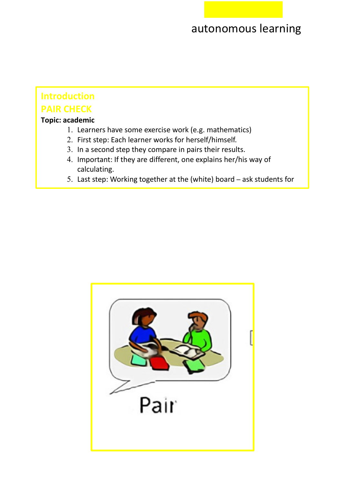## **Introduction PAIR CHECK**

## **Topic: academic**

explanations. The contract of the contract of the contract of the contract of the contract of the contract of <br>Explanations of the contract of the contract of the contract of the contract of the contract of the contract o

- 1. Learners have some exercise work (e.g. mathematics)
- 2. First step: Each learner works for herself/himself.
- 3. In a second step they compare in pairs their results.
- 4. Important: If they are different, one explains her/his way of calculating.
- 5. Last step: Working together at the (white) board ask students for

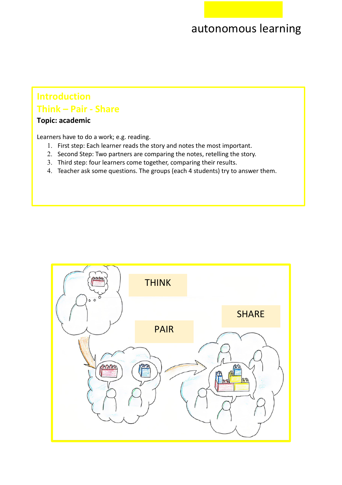## **Introduction Think – Pair - Share**

## **Topic: academic**

Learners have to do a work; e.g. reading.

- 1. First step: Each learner reads the story and notes the most important.
- 2. Second Step: Two partners are comparing the notes, retelling the story.
- 3. Third step: four learners come together, comparing their results.
- 4. Teacher ask some questions. The groups (each 4 students) try to answer them.

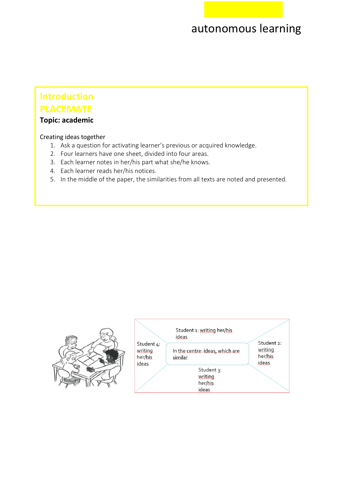## **Introduction PLACEMATE**

### **Topic: academic**

### Creating ideas together

- 1. Ask a question for activating learner's previous or acquired knowledge.
- 2. Four learners have one sheet, divided into four areas.
- 3. Each learner notes in her/his part what she/he knows.
- 4. Each learner reads her/his notices.
- 5. In the middle of the paper, the similarities from all texts are noted and presented.

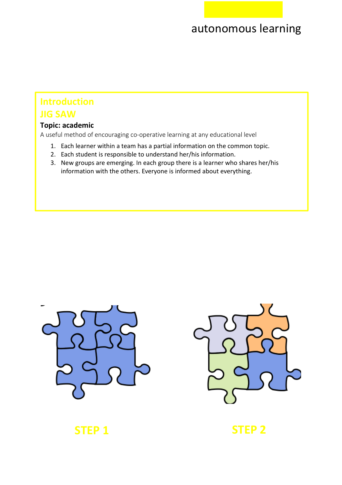# **Introduction**

## **JIG SAW**

## **Topic: academic**

A useful method of encouraging co-operative learning at any educational level

- 1. Each learner within a team has a partial information on the common topic.
- 2. Each student is responsible to understand her/his information.
- 3. New groups are emerging. In each group there is a learner who shares her/his information with the others. Everyone is informed about everything.





## **STEP 1** STEP 2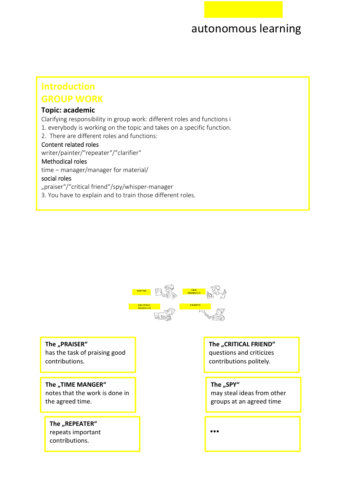## **GROUP WORK Introduction**

### **Topic: academic**

Clarifying responsibility in group work: different roles and functions i

- 1. everybody is working on the topic and takes on a specific function.
- 2. There are different roles and functions:

### Content related roles

writer/painter/"repeater"/"clarifier"

### Methodical roles

time – manager/manager for material/

### social roles

"praiser"/"critical friend"/spy/whisper-manager

3. You have to explain and to train those different roles.



**The ..PRAISER"** has the task of praising good contributions.

**The "TIME MANGER"** notes that the work is done in the agreed time.

## The "REPEATER" repeats important

contributions.

**The ..CRITICAL FRIEND"** 

questions and criticizes contributions politely.

### The "SPY"

may steal ideas from other groups at an agreed time

**…**